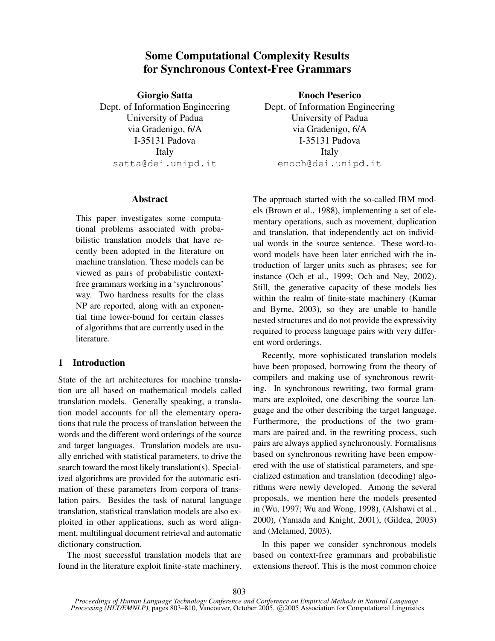# Some Computational Complexity Results for Synchronous Context-Free Grammars

Giorgio Satta Dept. of Information Engineering University of Padua via Gradenigo, 6/A I-35131 Padova Italy satta@dei.unipd.it

#### Abstract

This paper investigates some computational problems associated with probabilistic translation models that have recently been adopted in the literature on machine translation. These models can be viewed as pairs of probabilistic contextfree grammars working in a 'synchronous' way. Two hardness results for the class NP are reported, along with an exponential time lower-bound for certain classes of algorithms that are currently used in the literature.

## 1 Introduction

State of the art architectures for machine translation are all based on mathematical models called translation models. Generally speaking, a translation model accounts for all the elementary operations that rule the process of translation between the words and the different word orderings of the source and target languages. Translation models are usually enriched with statistical parameters, to drive the search toward the most likely translation(s). Specialized algorithms are provided for the automatic estimation of these parameters from corpora of translation pairs. Besides the task of natural language translation, statistical translation models are also exploited in other applications, such as word alignment, multilingual document retrieval and automatic dictionary construction.

The most successful translation models that are found in the literature exploit finite-state machinery.

Enoch Peserico Dept. of Information Engineering University of Padua via Gradenigo, 6/A I-35131 Padova Italy enoch@dei.unipd.it

The approach started with the so-called IBM models (Brown et al., 1988), implementing a set of elementary operations, such as movement, duplication and translation, that independently act on individual words in the source sentence. These word-toword models have been later enriched with the introduction of larger units such as phrases; see for instance (Och et al., 1999; Och and Ney, 2002). Still, the generative capacity of these models lies within the realm of finite-state machinery (Kumar and Byrne, 2003), so they are unable to handle nested structures and do not provide the expressivity required to process language pairs with very different word orderings.

Recently, more sophisticated translation models have been proposed, borrowing from the theory of compilers and making use of synchronous rewriting. In synchronous rewriting, two formal grammars are exploited, one describing the source language and the other describing the target language. Furthermore, the productions of the two grammars are paired and, in the rewriting process, such pairs are always applied synchronously. Formalisms based on synchronous rewriting have been empowered with the use of statistical parameters, and specialized estimation and translation (decoding) algorithms were newly developed. Among the several proposals, we mention here the models presented in (Wu, 1997; Wu and Wong, 1998), (Alshawi et al., 2000), (Yamada and Knight, 2001), (Gildea, 2003) and (Melamed, 2003).

In this paper we consider synchronous models based on context-free grammars and probabilistic extensions thereof. This is the most common choice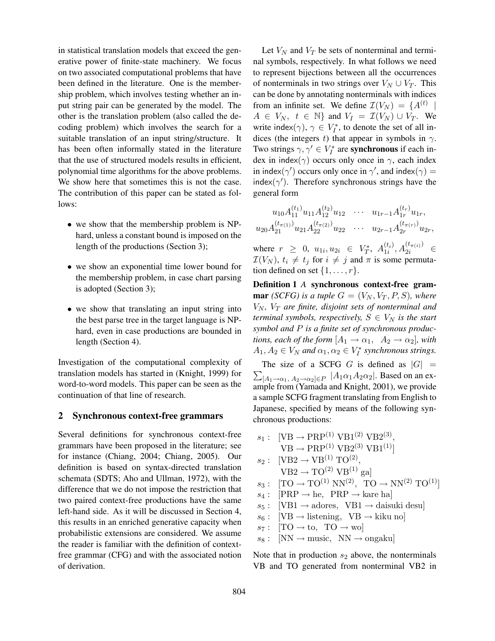in statistical translation models that exceed the generative power of finite-state machinery. We focus on two associated computational problems that have been defined in the literature. One is the membership problem, which involves testing whether an input string pair can be generated by the model. The other is the translation problem (also called the decoding problem) which involves the search for a suitable translation of an input string/structure. It has been often informally stated in the literature that the use of structured models results in efficient, polynomial time algorithms for the above problems. We show here that sometimes this is not the case. The contribution of this paper can be stated as follows:

- we show that the membership problem is NPhard, unless a constant bound is imposed on the length of the productions (Section 3);
- we show an exponential time lower bound for the membership problem, in case chart parsing is adopted (Section 3);
- we show that translating an input string into the best parse tree in the target language is NPhard, even in case productions are bounded in length (Section 4).

Investigation of the computational complexity of translation models has started in (Knight, 1999) for word-to-word models. This paper can be seen as the continuation of that line of research.

### 2 Synchronous context-free grammars

Several definitions for synchronous context-free grammars have been proposed in the literature; see for instance (Chiang, 2004; Chiang, 2005). Our definition is based on syntax-directed translation schemata (SDTS; Aho and Ullman, 1972), with the difference that we do not impose the restriction that two paired context-free productions have the same left-hand side. As it will be discussed in Section 4, this results in an enriched generative capacity when probabilistic extensions are considered. We assume the reader is familiar with the definition of contextfree grammar (CFG) and with the associated notion of derivation.

Let  $V_N$  and  $V_T$  be sets of nonterminal and terminal symbols, respectively. In what follows we need to represent bijections between all the occurrences of nonterminals in two strings over  $V_N \cup V_T$ . This can be done by annotating nonterminals with indices from an infinite set. We define  $\mathcal{I}(V_N) = \{A^{(t)} |$  $A \in V_N$ ,  $t \in \mathbb{N}$  and  $V_I = \mathcal{I}(V_N) \cup V_T$ . We write index $(\gamma)$ ,  $\gamma \in V_I^*$ , to denote the set of all indices (the integers t) that appear in symbols in  $\gamma$ . Two strings  $\gamma, \gamma' \in V_I^*$  are **synchronous** if each index in index( $\gamma$ ) occurs only once in  $\gamma$ , each index in index( $\gamma'$ ) occurs only once in  $\gamma'$ , and index( $\gamma$ ) = index( $\gamma'$ ). Therefore synchronous strings have the general form

$$
u_{10}A_{11}^{(t_1)}u_{11}A_{12}^{(t_2)}u_{12} \cdots u_{1r-1}A_{1r}^{(t_r)}u_{1r},
$$
  

$$
u_{20}A_{21}^{(t_{\pi(1)})}u_{21}A_{22}^{(t_{\pi(2)})}u_{22} \cdots u_{2r-1}A_{2r}^{(t_{\pi(r)})}u_{2r},
$$

where  $r \geq 0$ ,  $u_{1i}, u_{2i} \in V_T^*$ ,  $A_{1i}^{(t_i)}$  $\binom{(t_i)}{1i}, A_{2i}^{(t_{\pi(i)})} \in$  $\mathcal{I}(V_N)$ ,  $t_i \neq t_j$  for  $i \neq j$  and  $\pi$  is some permutation defined on set  $\{1, \ldots, r\}$ .

Definition 1 *A* synchronous context-free gram**mar** *(SCFG)* is a tuple  $G = (V_N, V_T, P, S)$ *, where*  $V_N$ ,  $V_T$  are finite, disjoint sets of nonterminal and *terminal symbols, respectively,*  $S \in V_N$  *is the start symbol and* P *is a finite set of synchronous productions, each of the form*  $[A_1 \rightarrow \alpha_1, A_2 \rightarrow \alpha_2]$ *, with*  $A_1, A_2 \in V_N$  and  $\alpha_1, \alpha_2 \in V_I^*$  synchronous strings.

 $\sum_{[A_1\rightarrow\alpha_1,\ A_2\rightarrow\alpha_2]\in P}\ |A_1\alpha_1A_2\alpha_2|$ . Based on an ex-The size of a SCFG G is defined as  $|G|$  = ample from (Yamada and Knight, 2001), we provide a sample SCFG fragment translating from English to Japanese, specified by means of the following synchronous productions:

 $s_1: \text{ [VB} \rightarrow \text{PRP}^{(1)} \text{ VB1}^{(2)} \text{ VB2}^{(3)},$  $VB \to PRP^{(1)} VB2^{(3)} VB1^{(1)}$  $s_2: \text{[VB2} \to \text{VB}^{(1)} \text{TO}^{(2)},$  $VB2 \rightarrow TO^{(2)}VB^{(1)}$  gal  $s_3: [TO \rightarrow TO^{(1)} \text{ NN}^{(2)}, TO \rightarrow \text{NN}^{(2)} \text{ TO}^{(1)}]$  $s_4:$  [PRP  $\rightarrow$  he, PRP  $\rightarrow$  kare ha]  $s_5: \text{[VB1} \rightarrow \text{adores}, \text{VB1} \rightarrow \text{daisuki} \text{ desul}$  $s_6: \text{[VB} \rightarrow \text{ listening}, \text{VB} \rightarrow \text{kiku no}]$  $s_7:$  [TO  $\rightarrow$  to, TO  $\rightarrow$  wo]  $s_8: \quad [NN \rightarrow music, \quad NN \rightarrow ongaku]$ 

Note that in production  $s_2$  above, the nonterminals VB and TO generated from nonterminal VB2 in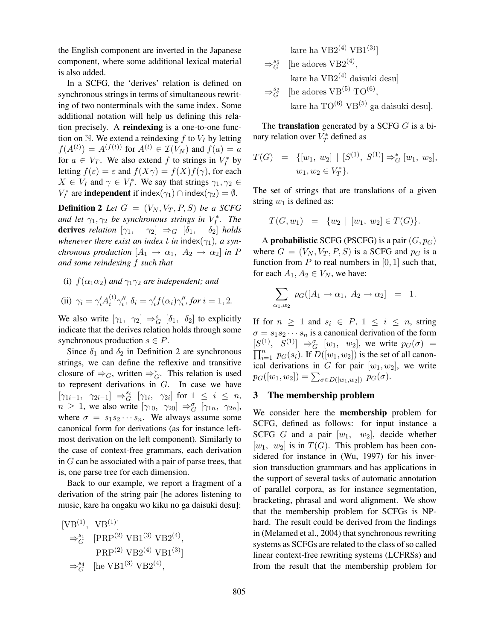the English component are inverted in the Japanese component, where some additional lexical material is also added.

In a SCFG, the 'derives' relation is defined on synchronous strings in terms of simultaneous rewriting of two nonterminals with the same index. Some additional notation will help us defining this relation precisely. A reindexing is a one-to-one function on N. We extend a reindexing  $f$  to  $V_I$  by letting  $f(A^{(t)}) = A^{(f(t))}$  for  $A^{(t)} \in \mathcal{I}(V_N)$  and  $f(a) = a$ for  $a \in V_T$ . We also extend f to strings in  $V_I^*$  by letting  $f(\varepsilon) = \varepsilon$  and  $f(X\gamma) = f(X)f(\gamma)$ , for each  $X \in V_I$  and  $\gamma \in V_I^*$ . We say that strings  $\gamma_1, \gamma_2 \in$  $V_I^*$  are **independent** if index( $\gamma_1$ )  $\cap$  index( $\gamma_2$ ) =  $\emptyset$ .

**Definition 2** Let  $G = (V_N, V_T, P, S)$  be a SCFG and let  $\gamma_1, \gamma_2$  be synchronous strings in  $V_I^*$ . The **derives** *relation*  $[\gamma_1, \quad \gamma_2] \Rightarrow_G [\delta_1, \quad \delta_2]$  *holds whenever there exist an index t in* index( $\gamma_1$ ), a syn*chronous production*  $[A_1 \rightarrow \alpha_1, A_2 \rightarrow \alpha_2]$  *in* P *and some reindexing* f *such that*

# (i)  $f(\alpha_1 \alpha_2)$  *and*  $\gamma_1 \gamma_2$  *are independent; and*

(ii) 
$$
\gamma_i = \gamma_i' A_i^{(t)} \gamma_i''
$$
,  $\delta_i = \gamma_i' f(\alpha_i) \gamma_i''$ , for  $i = 1, 2$ .

We also write  $[\gamma_1, \gamma_2] \Rightarrow_G^s [\delta_1, \delta_2]$  to explicitly indicate that the derives relation holds through some synchronous production  $s \in P$ .

Since  $\delta_1$  and  $\delta_2$  in Definition 2 are synchronous strings, we can define the reflexive and transitive closure of  $\Rightarrow_G$ , written  $\Rightarrow_G^*$ . This relation is used to represent derivations in G. In case we have  $[\gamma_{1i-1}, \ \gamma_{2i-1}] \Rightarrow_G^{s_i} [\gamma_{1i}, \ \gamma_{2i}]$  for  $1 \leq i \leq n$ ,  $n \geq 1$ , we also write  $[\gamma_{10}, \gamma_{20}] \Rightarrow_{G}^{\sigma} [\gamma_{1n}, \gamma_{2n}],$ where  $\sigma = s_1 s_2 \cdots s_n$ . We always assume some canonical form for derivations (as for instance leftmost derivation on the left component). Similarly to the case of context-free grammars, each derivation in G can be associated with a pair of parse trees, that is, one parse tree for each dimension.

Back to our example, we report a fragment of a derivation of the string pair [he adores listening to music, kare ha ongaku wo kiku no ga daisuki desu]:

$$
\begin{aligned} [\text{VB}^{(1)}, \ \ \text{VB}^{(1)}] \\ \Rightarrow_G^{s_1} \ \ [ \text{PRP}^{(2)} \ \text{VB1}^{(3)} \ \text{VB2}^{(4)}, \\ \text{PRP}^{(2)} \ \text{VB2}^{(4)} \ \text{VB1}^{(3)} ] \\ \Rightarrow_G^{s_4} \ \ [ \text{he VB1}^{(3)} \ \text{VB2}^{(4)}, \end{aligned}
$$

$$
\ker \text{ ha VB2}^{(4)} \text{VB1}^{(3)}]
$$
  
\n⇒<sup>s5</sup><sub>G</sub> [he address VB2<sup>(4)</sup>,  
\n
$$
\ker \text{ ha VB2}^{(4)} \text{ daisuki desu}]
$$
  
\n⇒<sup>s2</sup><sub>G</sub> [he address VB<sup>(5)</sup> TO<sup>(6)</sup>,  
\n
$$
\ker \text{ ha TO}^{(6)} \text{ VB}^{(5)} \text{ ga daisuki desu}].
$$

The **translation** generated by a SCFG  $G$  is a binary relation over  $V_T^*$  defined as

$$
T(G) = \{ [w_1, w_2] | [S^{(1)}, S^{(1)}] \Rightarrow_G^* [w_1, w_2],
$$
  

$$
w_1, w_2 \in V_T^* \}.
$$

The set of strings that are translations of a given string  $w_1$  is defined as:

$$
T(G, w_1) = \{w_2 \mid [w_1, w_2] \in T(G)\}.
$$

A **probabilistic** SCFG (PSCFG) is a pair  $(G, p_G)$ where  $G = (V_N, V_T, P, S)$  is a SCFG and  $p_G$  is a function from  $P$  to real numbers in [0, 1] such that, for each  $A_1, A_2 \in V_N$ , we have:

$$
\sum_{\alpha_1,\alpha_2} p_G([A_1 \to \alpha_1, A_2 \to \alpha_2] = 1.
$$

If for  $n \geq 1$  and  $s_i \in P$ ,  $1 \leq i \leq n$ , string  $\sigma = s_1 s_2 \cdots s_n$  is a canonical derivation of the form  $[S^{(1)}, S^{(1)}] \Rightarrow_G^{\sigma} [w_1, w_2]$ , we write  $p_G(\sigma) =$  $\prod_{i=1}^n p_G(s_i)$ . If  $D([w_1, w_2])$  is the set of all canonical derivations in G for pair  $[w_1, w_2]$ , we write  $p_G([w_1, w_2]) = \sum_{\sigma \in D([w_1, w_2])} p_G(\sigma).$ 

### 3 The membership problem

We consider here the membership problem for SCFG, defined as follows: for input instance a SCFG G and a pair  $[w_1, w_2]$ , decide whether  $[w_1, w_2]$  is in  $T(G)$ . This problem has been considered for instance in (Wu, 1997) for his inversion transduction grammars and has applications in the support of several tasks of automatic annotation of parallel corpora, as for instance segmentation, bracketing, phrasal and word alignment. We show that the membership problem for SCFGs is NPhard. The result could be derived from the findings in (Melamed et al., 2004) that synchronous rewriting systems as SCFGs are related to the class of so called linear context-free rewriting systems (LCFRSs) and from the result that the membership problem for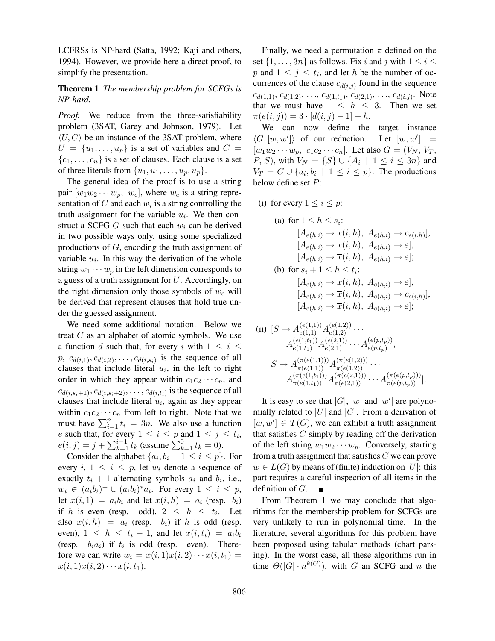LCFRSs is NP-hard (Satta, 1992; Kaji and others, 1994). However, we provide here a direct proof, to simplify the presentation.

## Theorem 1 *The membership problem for SCFGs is NP-hard.*

*Proof.* We reduce from the three-satisfiability problem (3SAT, Garey and Johnson, 1979). Let  $\langle U, C \rangle$  be an instance of the 3SAT problem, where  $U = \{u_1, \ldots, u_n\}$  is a set of variables and  $C =$  ${c_1, \ldots, c_n}$  is a set of clauses. Each clause is a set of three literals from  $\{u_1, \overline{u}_1, \ldots, u_n, \overline{u}_n\}.$ 

The general idea of the proof is to use a string pair  $[w_1w_2\cdots w_p, w_c]$ , where  $w_c$  is a string representation of C and each  $w_i$  is a string controlling the truth assignment for the variable  $u_i$ . We then construct a SCFG G such that each  $w_i$  can be derived in two possible ways only, using some specialized productions of G, encoding the truth assignment of variable  $u_i$ . In this way the derivation of the whole string  $w_1 \cdots w_p$  in the left dimension corresponds to a guess of a truth assignment for  $U$ . Accordingly, on the right dimension only those symbols of  $w_c$  will be derived that represent clauses that hold true under the guessed assignment.

We need some additional notation. Below we treat C as an alphabet of atomic symbols. We use a function d such that, for every i with  $1 \leq i \leq$  $p, c_{d(i,1)}, c_{d(i,2)}, \ldots, c_{d(i,s_i)}$  is the sequence of all clauses that include literal  $u_i$ , in the left to right order in which they appear within  $c_1c_2 \cdots c_n$ , and  $c_{d(i,s_i+1)}, c_{d(i,s_i+2)}, \ldots, c_{d(i,t_i)}$  is the sequence of all clauses that include literal  $\overline{u}_i$ , again as they appear within  $c_1c_2 \cdots c_n$  from left to right. Note that we must have  $\sum_{i=1}^{p} t_i = 3n$ . We also use a function e such that, for every  $1 \le i \le p$  and  $1 \le j \le t_i$ ,  $e(i, j) = j + \sum_{k=1}^{i-1} t_k$  (assume  $\sum_{k=1}^{0} t_k = 0$ ).

Consider the alphabet  $\{a_i, b_i \mid 1 \leq i \leq p\}$ . For every i,  $1 \leq i \leq p$ , let  $w_i$  denote a sequence of exactly  $t_i + 1$  alternating symbols  $a_i$  and  $b_i$ , i.e.,  $w_i \in (a_i b_i)^+ \cup (a_i b_i)^* a_i$ . For every  $1 \le i \le p$ , let  $x(i, 1) = a_i b_i$  and let  $x(i, h) = a_i$  (resp.  $b_i$ ) if h is even (resp. odd),  $2 \leq h \leq t_i$ . Let also  $\overline{x}(i, h) = a_i$  (resp.  $b_i$ ) if h is odd (resp. even),  $1 \leq h \leq t_i - 1$ , and let  $\overline{x}(i, t_i) = a_i b_i$ (resp.  $b_i a_i$ ) if  $t_i$  is odd (resp. even). Therefore we can write  $w_i = x(i, 1)x(i, 2) \cdots x(i, t_1) =$  $\overline{x}(i, 1)\overline{x}(i, 2)\cdots\overline{x}(i, t_1).$ 

Finally, we need a permutation  $\pi$  defined on the set  $\{1, \ldots, 3n\}$  as follows. Fix i and j with  $1 \leq i \leq$ p and  $1 \leq j \leq t_i$ , and let h be the number of occurrences of the clause  $c_{d(i,j)}$  found in the sequence  $c_{d(1,1)}, c_{d(1,2)}, \ldots, c_{d(1,t_1)}, c_{d(2,1)}, \ldots, c_{d(i,j)}$ . Note that we must have  $1 \leq h \leq 3$ . Then we set  $\pi(e(i, j)) = 3 \cdot [d(i, j) - 1] + h.$ 

We can now define the target instance  $\langle G, [w, w'] \rangle$  of our reduction. Let  $[w, w']$ Let  $[w, w'] =$  $[w_1w_2\cdots w_p, \ c_1c_2\cdots c_n]$ . Let also  $G = (V_N, V_T, \ldots)$ *P*, *S*), with  $V_N = \{S\}$  ∪  $\{A_i \mid 1 \le i \le 3n\}$  and  $V_T = C \cup \{a_i, b_i \mid 1 \leq i \leq p\}$ . The productions below define set P:

(i) for every  $1 \leq i \leq p$ :

(a) for 
$$
1 \le h \le s_i
$$
:  
\n $[A_{e(h,i)} \to x(i, h), A_{e(h,i)} \to c_{e(i,h)}],$   
\n $[A_{e(h,i)} \to x(i, h), A_{e(h,i)} \to \varepsilon],$   
\n $[A_{e(h,i)} \to \overline{x}(i, h), A_{e(h,i)} \to \varepsilon];$   
\n(b) for  $s_i + 1 \le h \le t_i$ :  
\n $[A_{e(h,i)} \to x(i, h), A_{e(h,i)} \to \varepsilon],$   
\n $[A_{e(h,i)} \to \overline{x}(i, h), A_{e(h,i)} \to c_{e(i,h)}],$   
\n $[A_{e(h,i)} \to \overline{x}(i, h), A_{e(h,i)} \to \varepsilon];$ 

(ii) 
$$
[S \to A_{e(1,1)}^{(e(1,1))} A_{e(1,2)}^{(e(1,2))} \dots
$$
  
\n
$$
A_{e(1,t_1)}^{(e(1,t_1))} A_{e(2,1)}^{(e(2,1))} \dots A_{e(p,t_p)}^{(e(p,t_p))},
$$
  
\n
$$
S \to A_{\pi(e(1,1))}^{(\pi(e(1,1)))} A_{\pi(e(1,2))}^{(\pi(e(1,2)))} \dots
$$
  
\n
$$
A_{\pi(e(1,t_1))}^{(\pi(e(1,t_1)))} A_{\pi(e(2,1))}^{(\pi(e(2,1)))} \dots A_{\pi(e(p,t_p))}^{(\pi(e(p,t_p)))}].
$$

It is easy to see that  $|G|$ ,  $|w|$  and  $|w'|$  are polynomially related to |U| and |C|. From a derivation of  $[w, w'] \in T(G)$ , we can exhibit a truth assignment that satisfies  $C$  simply by reading off the derivation of the left string  $w_1w_2 \cdots w_p$ . Conversely, starting from a truth assignment that satisfies C we can prove  $w \in L(G)$  by means of (finite) induction on |U|: this part requires a careful inspection of all items in the definition of G.

From Theorem 1 we may conclude that algorithms for the membership problem for SCFGs are very unlikely to run in polynomial time. In the literature, several algorithms for this problem have been proposed using tabular methods (chart parsing). In the worst case, all these algorithms run in time  $\Theta(|G| \cdot n^{k(G)})$ , with G an SCFG and n the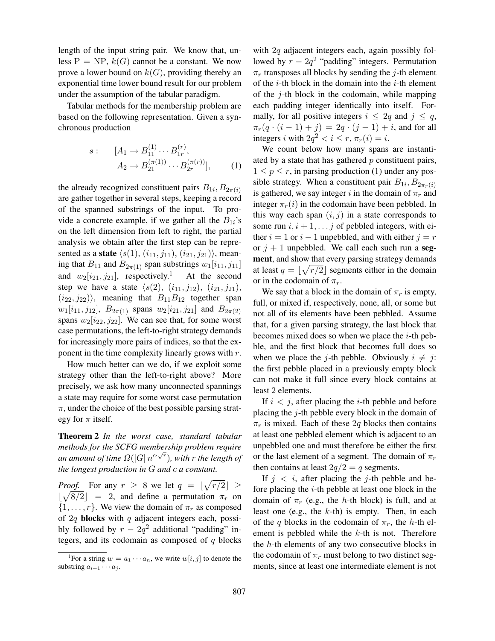length of the input string pair. We know that, unless  $P = NP$ ,  $k(G)$  cannot be a constant. We now prove a lower bound on  $k(G)$ , providing thereby an exponential time lower bound result for our problem under the assumption of the tabular paradigm.

Tabular methods for the membership problem are based on the following representation. Given a synchronous production

$$
s: \quad [A_1 \to B_{11}^{(1)} \cdots B_{1r}^{(r)}, A_2 \to B_{21}^{(\pi(1))} \cdots B_{2r}^{(\pi(r))}], \quad (1)
$$

the already recognized constituent pairs  $B_{1i}$ ,  $B_{2\pi(i)}$ are gather together in several steps, keeping a record of the spanned substrings of the input. To provide a concrete example, if we gather all the  $B_{1i}$ 's on the left dimension from left to right, the partial analysis we obtain after the first step can be represented as a **state**  $\langle s(1), (i_{11}, j_{11}), (i_{21}, j_{21})\rangle$ , meaning that  $B_{11}$  and  $B_{2\pi(1)}$  span substrings  $w_1[i_{11}, j_{11}]$ and  $w_2[i_{21}, j_{21}]$ , respectively.<sup>1</sup> At the second step we have a state  $\langle s(2), (i_{11}, j_{12}), (i_{21}, j_{21}),$  $(i_{22}, j_{22})\rangle$ , meaning that  $B_{11}B_{12}$  together span  $w_1[i_{11}, j_{12}], B_{2\pi(1)}$  spans  $w_2[i_{21}, j_{21}]$  and  $B_{2\pi(2)}$ spans  $w_2[i_{22}, j_{22}]$ . We can see that, for some worst case permutations, the left-to-right strategy demands for increasingly more pairs of indices, so that the exponent in the time complexity linearly grows with  $r$ .

How much better can we do, if we exploit some strategy other than the left-to-right above? More precisely, we ask how many unconnected spannings a state may require for some worst case permutation  $\pi$ , under the choice of the best possible parsing strategy for  $\pi$  itself.

Theorem 2 *In the worst case, standard tabular methods for the SCFG membership problem require* √ an amount of time  $\varOmega(|G|\, n^{c \cdot \sqrt{r}})$ , with  $r$  the length of *the longest production in* G *and* c *a constant.*

*Proof.* For any  $r \geq 8$  we let  $q = |\sqrt{r/2}| \geq$  $\lfloor \sqrt{8/2} \rfloor = 2$ , and define a permutation  $\pi_r$  on  $\{1, \ldots, r\}$ . We view the domain of  $\pi_r$  as composed of  $2q$  blocks with  $q$  adjacent integers each, possibly followed by  $r - 2q^2$  additional "padding" integers, and its codomain as composed of  $q$  blocks with  $2q$  adjacent integers each, again possibly followed by  $r - 2q^2$  "padding" integers. Permutation  $\pi_r$  transposes all blocks by sending the *j*-th element of the  $i$ -th block in the domain into the  $i$ -th element of the  $j$ -th block in the codomain, while mapping each padding integer identically into itself. Formally, for all positive integers  $i \leq 2q$  and  $j \leq q$ ,  $\pi_r(q \cdot (i-1) + j) = 2q \cdot (j-1) + i$ , and for all integers *i* with  $2q^2 < i \leq r$ ,  $\pi_r(i) = i$ .

We count below how many spans are instantiated by a state that has gathered  $p$  constituent pairs,  $1 \leq p \leq r$ , in parsing production (1) under any possible strategy. When a constituent pair  $B_{1i}$ ,  $B_{2\pi_r(i)}$ is gathered, we say integer i in the domain of  $\pi_r$  and integer  $\pi_r(i)$  in the codomain have been pebbled. In this way each span  $(i, j)$  in a state corresponds to some run  $i, i + 1, \ldots j$  of pebbled integers, with either  $i = 1$  or  $i - 1$  unpebbled, and with either  $j = r$ or  $j + 1$  unpebbled. We call each such run a segment, and show that every parsing strategy demands at least  $q = \lfloor \sqrt{r/2} \rfloor$  segments either in the domain or in the codomain of  $\pi_r$ .

We say that a block in the domain of  $\pi_r$  is empty, full, or mixed if, respectively, none, all, or some but not all of its elements have been pebbled. Assume that, for a given parsing strategy, the last block that becomes mixed does so when we place the  $i$ -th pebble, and the first block that becomes full does so when we place the *j*-th pebble. Obviously  $i \neq j$ : the first pebble placed in a previously empty block can not make it full since every block contains at least 2 elements.

If  $i < j$ , after placing the *i*-th pebble and before placing the j-th pebble every block in the domain of  $\pi_r$  is mixed. Each of these 2q blocks then contains at least one pebbled element which is adjacent to an unpebbled one and must therefore be either the first or the last element of a segment. The domain of  $\pi_r$ then contains at least  $2q/2 = q$  segments.

If  $j < i$ , after placing the j-th pebble and before placing the  $i$ -th pebble at least one block in the domain of  $\pi_r$  (e.g., the h-th block) is full, and at least one (e.g., the  $k$ -th) is empty. Then, in each of the q blocks in the codomain of  $\pi_r$ , the h-th element is pebbled while the  $k$ -th is not. Therefore the h-th elements of any two consecutive blocks in the codomain of  $\pi_r$  must belong to two distinct segments, since at least one intermediate element is not

<sup>&</sup>lt;sup>1</sup>For a string  $w = a_1 \cdots a_n$ , we write  $w[i, j]$  to denote the substring  $a_{i+1} \cdots a_i$ .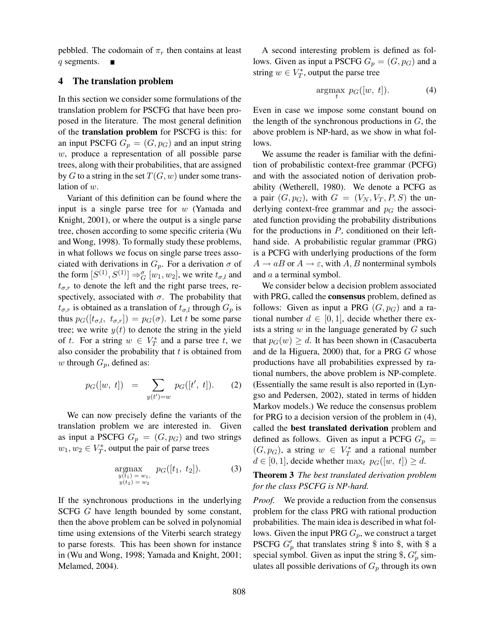pebbled. The codomain of  $\pi_r$  then contains at least q segments.

#### 4 The translation problem

In this section we consider some formulations of the translation problem for PSCFG that have been proposed in the literature. The most general definition of the translation problem for PSCFG is this: for an input PSCFG  $G_p = (G, p_G)$  and an input string w, produce a representation of all possible parse trees, along with their probabilities, that are assigned by G to a string in the set  $T(G, w)$  under some translation of  $w$ .

Variant of this definition can be found where the input is a single parse tree for  $w$  (Yamada and Knight, 2001), or where the output is a single parse tree, chosen according to some specific criteria (Wu and Wong, 1998). To formally study these problems, in what follows we focus on single parse trees associated with derivations in  $G_p$ . For a derivation  $\sigma$  of the form  $[S^{(1)}, S^{(1)}] \Rightarrow_G^{\sigma} [w_1, w_2]$ , we write  $t_{\sigma,l}$  and  $t_{\sigma,r}$  to denote the left and the right parse trees, respectively, associated with  $\sigma$ . The probability that  $t_{\sigma,r}$  is obtained as a translation of  $t_{\sigma,l}$  through  $G_p$  is thus  $p_G([t_{\sigma,l}, t_{\sigma,r}]) = p_G(\sigma)$ . Let t be some parse tree; we write  $y(t)$  to denote the string in the yield of t. For a string  $w \in V_T^*$  and a parse tree t, we also consider the probability that  $t$  is obtained from w through  $G_p$ , defined as:

$$
p_G([w, t]) = \sum_{y(t')=w} p_G([t', t]).
$$
 (2)

We can now precisely define the variants of the translation problem we are interested in. Given as input a PSCFG  $G_p = (G, p_G)$  and two strings  $w_1, w_2 \in V_T^*$ , output the pair of parse trees

$$
\underset{\substack{y(t_1) = w_1, \\ y(t_2) = w_2}}{\text{argmax}} \ \ p_G([t_1, t_2]). \tag{3}
$$

If the synchronous productions in the underlying SCFG G have length bounded by some constant, then the above problem can be solved in polynomial time using extensions of the Viterbi search strategy to parse forests. This has been shown for instance in (Wu and Wong, 1998; Yamada and Knight, 2001; Melamed, 2004).

A second interesting problem is defined as follows. Given as input a PSCFG  $G_p = (G, p_G)$  and a string  $w \in V_T^*$ , output the parse tree

$$
\underset{t}{\operatorname{argmax}} \ p_G([w, t]). \tag{4}
$$

Even in case we impose some constant bound on the length of the synchronous productions in  $G$ , the above problem is NP-hard, as we show in what follows.

We assume the reader is familiar with the definition of probabilistic context-free grammar (PCFG) and with the associated notion of derivation probability (Wetherell, 1980). We denote a PCFG as a pair  $(G, p_G)$ , with  $G = (V_N, V_T, P, S)$  the underlying context-free grammar and  $p_G$  the associated function providing the probability distributions for the productions in  $P$ , conditioned on their lefthand side. A probabilistic regular grammar (PRG) is a PCFG with underlying productions of the form  $A \rightarrow aB$  or  $A \rightarrow \varepsilon$ , with A, B nonterminal symbols and a a terminal symbol.

We consider below a decision problem associated with PRG, called the consensus problem, defined as follows: Given as input a PRG  $(G, p_G)$  and a rational number  $d \in [0, 1]$ , decide whether there exists a string  $w$  in the language generated by  $G$  such that  $p_G(w) \geq d$ . It has been shown in (Casacuberta and de la Higuera, 2000) that, for a PRG G whose productions have all probabilities expressed by rational numbers, the above problem is NP-complete. (Essentially the same result is also reported in (Lyngso and Pedersen, 2002), stated in terms of hidden Markov models.) We reduce the consensus problem for PRG to a decision version of the problem in (4), called the best translated derivation problem and defined as follows. Given as input a PCFG  $G_p =$  $(G, p_G)$ , a string  $w \in V_T^*$  and a rational number  $d \in [0, 1]$ , decide whether  $\max_t p_G([w, t]) \geq d$ .

## Theorem 3 *The best translated derivation problem for the class PSCFG is NP-hard.*

*Proof.* We provide a reduction from the consensus problem for the class PRG with rational production probabilities. The main idea is described in what follows. Given the input PRG  $G_p$ , we construct a target PSCFG  $G_p'$  that translates string \$ into \$, with \$ a special symbol. Given as input the string \$,  $G'_p$  simulates all possible derivations of  $G_p$  through its own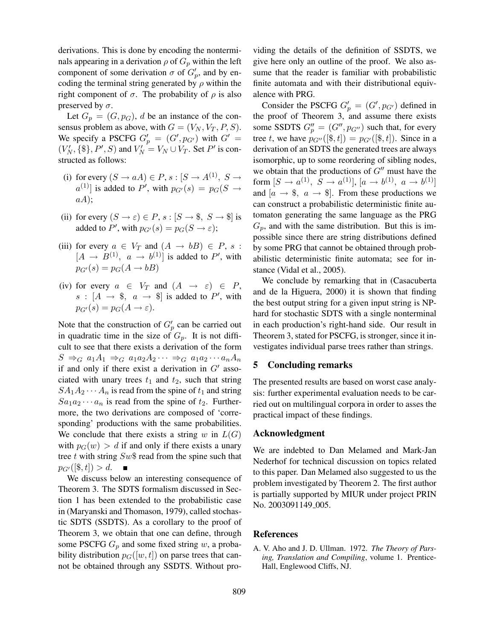derivations. This is done by encoding the nonterminals appearing in a derivation  $\rho$  of  $G_p$  within the left component of some derivation  $\sigma$  of  $G'_{p}$ , and by encoding the terminal string generated by  $\rho$  within the right component of  $\sigma$ . The probability of  $\rho$  is also preserved by  $\sigma$ .

Let  $G_p = (G, p_G)$ , d be an instance of the consensus problem as above, with  $G = (V_N, V_T, P, S)$ . We specify a PSCFG  $G'_p = (G', p_{G'})$  with  $G' =$  $(V'_N, \{\$\}, P', S)$  and  $V'_N = V_N \cup V_T$ . Set P' is constructed as follows:

- (i) for every  $(S \to aA) \in P$ ,  $s : [S \to A^{(1)}, S \to A^{(2)}]$  $a^{(1)}$ ] is added to P', with  $p_{G'}(s) = p_G(S \rightarrow$  $aA);$
- (ii) for every  $(S \to \varepsilon) \in P$ ,  $s : [S \to \S, S \to \S]$  is added to P', with  $p_{G'}(s) = p_G(S \to \varepsilon);$
- (iii) for every  $a \in V_T$  and  $(A \rightarrow bB) \in P$ , s:  $[A \rightarrow B^{(1)}, a \rightarrow b^{(1)}]$  is added to P', with  $p_{G'}(s) = p_G(A \rightarrow bB)$
- (iv) for every  $a \in V_T$  and  $(A \rightarrow \varepsilon) \in P$ ,  $s : [A \rightarrow \$ , a \rightarrow \] is added to P', with  $p_{G'}(s) = p_G(A \rightarrow \varepsilon).$

Note that the construction of  $G_p'$  can be carried out in quadratic time in the size of  $G_p$ . It is not difficult to see that there exists a derivation of the form  $S \Rightarrow_G a_1A_1 \Rightarrow_G a_1a_2A_2 \cdots \Rightarrow_G a_1a_2 \cdots a_nA_n$ if and only if there exist a derivation in  $G'$  associated with unary trees  $t_1$  and  $t_2$ , such that string  $SA_1A_2 \cdots A_n$  is read from the spine of  $t_1$  and string  $Sa_1a_2\cdots a_n$  is read from the spine of  $t_2$ . Furthermore, the two derivations are composed of 'corresponding' productions with the same probabilities. We conclude that there exists a string w in  $L(G)$ with  $p_G(w) > d$  if and only if there exists a unary tree t with string  $Sw\$  read from the spine such that  $p_{G'}([\$ , t]) > d.$  $\blacksquare$ 

We discuss below an interesting consequence of Theorem 3. The SDTS formalism discussed in Section 1 has been extended to the probabilistic case in (Maryanski and Thomason, 1979), called stochastic SDTS (SSDTS). As a corollary to the proof of Theorem 3, we obtain that one can define, through some PSCFG  $G_p$  and some fixed string w, a probability distribution  $p_G([w, t])$  on parse trees that cannot be obtained through any SSDTS. Without providing the details of the definition of SSDTS, we give here only an outline of the proof. We also assume that the reader is familiar with probabilistic finite automata and with their distributional equivalence with PRG.

Consider the PSCFG  $G'_{p} = (G', p_{G'})$  defined in the proof of Theorem 3, and assume there exists some SSDTS  $G_p'' = (G'', p_{G''})$  such that, for every tree t, we have  $p_{G''}(\{\$, t\}) = p_{G'}(\{\$, t\})$ . Since in a derivation of an SDTS the generated trees are always isomorphic, up to some reordering of sibling nodes, we obtain that the productions of  $G''$  must have the form  $[S \to a^{(1)}, S \to a^{(1)}], [a \to b^{(1)}, a \to b^{(1)}]$ and  $[a \rightarrow \text{\$}, a \rightarrow \text{\$}].$  From these productions we can construct a probabilistic deterministic finite automaton generating the same language as the PRG  $G_p$ , and with the same distribution. But this is impossible since there are string distributions defined by some PRG that cannot be obtained through probabilistic deterministic finite automata; see for instance (Vidal et al., 2005).

We conclude by remarking that in (Casacuberta and de la Higuera, 2000) it is shown that finding the best output string for a given input string is NPhard for stochastic SDTS with a single nonterminal in each production's right-hand side. Our result in Theorem 3, stated for PSCFG, is stronger, since it investigates individual parse trees rather than strings.

### 5 Concluding remarks

The presented results are based on worst case analysis: further experimental evaluation needs to be carried out on multilingual corpora in order to asses the practical impact of these findings.

#### Acknowledgment

We are indebted to Dan Melamed and Mark-Jan Nederhof for technical discussion on topics related to this paper. Dan Melamed also suggested to us the problem investigated by Theorem 2. The first author is partially supported by MIUR under project PRIN No. 2003091149<sub>-005</sub>.

#### References

A. V. Aho and J. D. Ullman. 1972. *The Theory of Parsing, Translation and Compiling*, volume 1. Prentice-Hall, Englewood Cliffs, NJ.